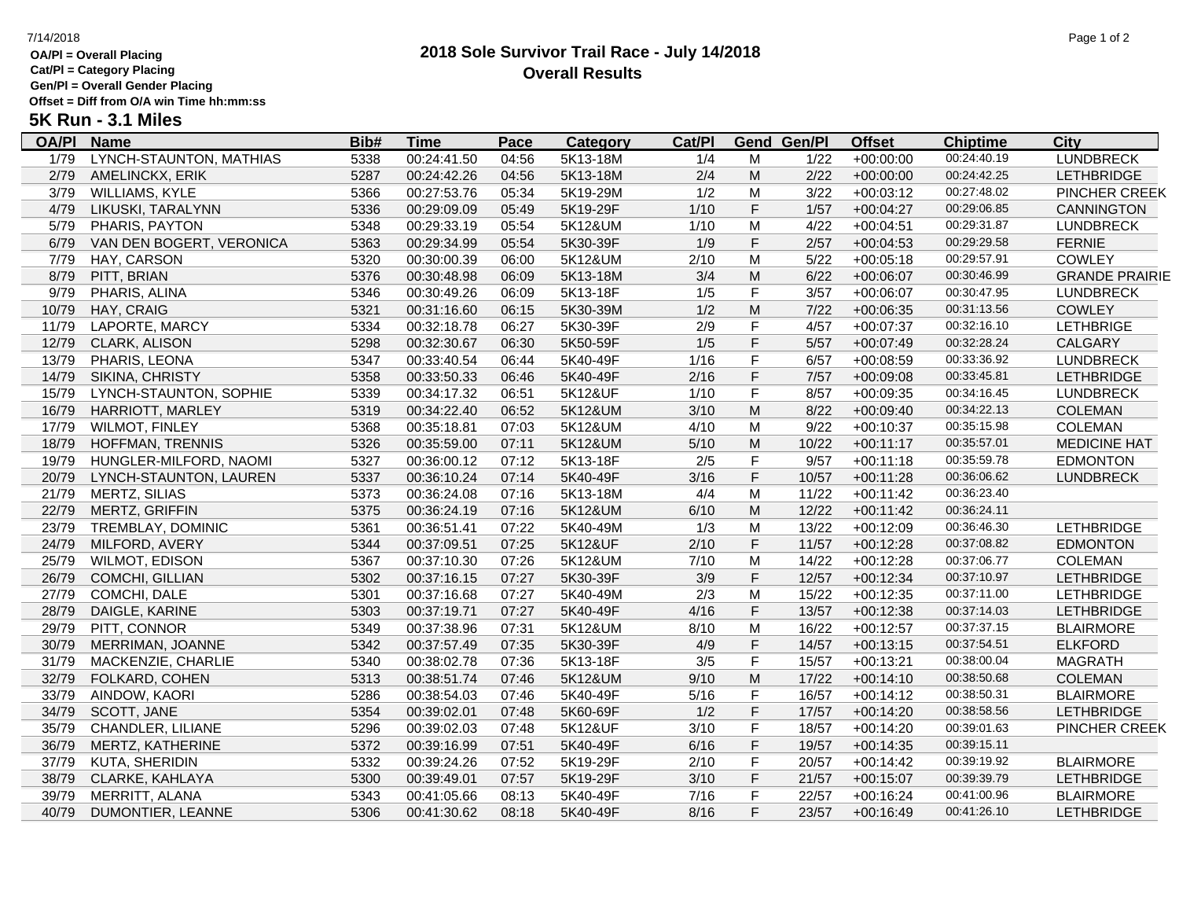## **OA/Pl = Overall Placing**

**Cat/Pl = Category Placing**

**Gen/Pl = Overall Gender Placing Offset = Diff from O/A win Time hh:mm:ss**

# **5K Run - 3.1 Miles**

| OA/PI | <b>Name</b>              | <u>Bib#</u> | <u>Time</u> | <u>Pace</u> | <b>Category</b> | Cat/PI |             | <b>Gend Gen/Pl</b> | <b>Offset</b> | <b>Chiptime</b> | City                  |
|-------|--------------------------|-------------|-------------|-------------|-----------------|--------|-------------|--------------------|---------------|-----------------|-----------------------|
| 1/79  | LYNCH-STAUNTON, MATHIAS  | 5338        | 00:24:41.50 | 04:56       | 5K13-18M        | 1/4    | M           | 1/22               | $+00:00:00$   | 00:24:40.19     | <b>LUNDBRECK</b>      |
| 2/79  | AMELINCKX, ERIK          | 5287        | 00:24:42.26 | 04:56       | 5K13-18M        | 2/4    | M           | 2/22               | $+00:00:00$   | 00:24:42.25     | <b>LETHBRIDGE</b>     |
| 3/79  | <b>WILLIAMS, KYLE</b>    | 5366        | 00:27:53.76 | 05:34       | 5K19-29M        | 1/2    | M           | 3/22               | $+00:03:12$   | 00:27:48.02     | <b>PINCHER CREEK</b>  |
| 4/79  | LIKUSKI, TARALYNN        | 5336        | 00:29:09.09 | 05:49       | 5K19-29F        | 1/10   | $\mathsf F$ | 1/57               | $+00:04:27$   | 00:29:06.85     | CANNINGTON            |
| 5/79  | PHARIS, PAYTON           | 5348        | 00:29:33.19 | 05:54       | 5K12&UM         | $1/10$ | M           | 4/22               | $+00:04:51$   | 00:29:31.87     | <b>LUNDBRECK</b>      |
| 6/79  | VAN DEN BOGERT, VERONICA | 5363        | 00:29:34.99 | 05:54       | 5K30-39F        | 1/9    | F           | 2/57               | $+00:04:53$   | 00:29:29.58     | <b>FERNIE</b>         |
| 7/79  | HAY, CARSON              | 5320        | 00:30:00.39 | 06:00       | 5K12&UM         | 2/10   | M           | 5/22               | $+00:05:18$   | 00:29:57.91     | <b>COWLEY</b>         |
| 8/79  | PITT, BRIAN              | 5376        | 00:30:48.98 | 06:09       | 5K13-18M        | 3/4    | M           | 6/22               | $+00:06:07$   | 00:30:46.99     | <b>GRANDE PRAIRIE</b> |
| 9/79  | PHARIS, ALINA            | 5346        | 00:30:49.26 | 06:09       | 5K13-18F        | 1/5    | F           | 3/57               | $+00:06:07$   | 00:30:47.95     | <b>LUNDBRECK</b>      |
| 10/79 | HAY, CRAIG               | 5321        | 00:31:16.60 | 06:15       | 5K30-39M        | 1/2    | M           | 7/22               | $+00:06:35$   | 00:31:13.56     | <b>COWLEY</b>         |
| 11/79 | LAPORTE, MARCY           | 5334        | 00:32:18.78 | 06:27       | 5K30-39F        | 2/9    | F           | 4/57               | $+00:07:37$   | 00:32:16.10     | <b>LETHBRIGE</b>      |
| 12/79 | <b>CLARK, ALISON</b>     | 5298        | 00:32:30.67 | 06:30       | 5K50-59F        | 1/5    | $\mathsf F$ | 5/57               | $+00:07:49$   | 00:32:28.24     | CALGARY               |
| 13/79 | PHARIS, LEONA            | 5347        | 00:33:40.54 | 06:44       | 5K40-49F        | 1/16   | F           | 6/57               | $+00:08:59$   | 00:33:36.92     | <b>LUNDBRECK</b>      |
| 14/79 | <b>SIKINA, CHRISTY</b>   | 5358        | 00:33:50.33 | 06:46       | 5K40-49F        | 2/16   | F           | 7/57               | $+00:09:08$   | 00:33:45.81     | <b>LETHBRIDGE</b>     |
| 15/79 | LYNCH-STAUNTON, SOPHIE   | 5339        | 00:34:17.32 | 06:51       | 5K12&UF         | $1/10$ | F           | 8/57               | $+00:09:35$   | 00:34:16.45     | <b>LUNDBRECK</b>      |
| 16/79 | <b>HARRIOTT, MARLEY</b>  | 5319        | 00:34:22.40 | 06:52       | 5K12&UM         | 3/10   | M           | 8/22               | $+00:09:40$   | 00:34:22.13     | <b>COLEMAN</b>        |
| 17/79 | <b>WILMOT, FINLEY</b>    | 5368        | 00:35:18.81 | 07:03       | 5K12&UM         | 4/10   | M           | 9/22               | $+00:10:37$   | 00:35:15.98     | <b>COLEMAN</b>        |
| 18/79 | HOFFMAN, TRENNIS         | 5326        | 00:35:59.00 | 07:11       | 5K12&UM         | 5/10   | M           | 10/22              | $+00:11:17$   | 00:35:57.01     | <b>MEDICINE HAT</b>   |
| 19/79 | HUNGLER-MILFORD, NAOMI   | 5327        | 00:36:00.12 | 07:12       | 5K13-18F        | 2/5    | F           | 9/57               | $+00:11:18$   | 00:35:59.78     | <b>EDMONTON</b>       |
| 20/79 | LYNCH-STAUNTON, LAUREN   | 5337        | 00:36:10.24 | 07:14       | 5K40-49F        | 3/16   | $\mathsf F$ | 10/57              | $+00:11:28$   | 00:36:06.62     | <b>LUNDBRECK</b>      |
| 21/79 | <b>MERTZ, SILIAS</b>     | 5373        | 00:36:24.08 | 07:16       | 5K13-18M        | 4/4    | M           | 11/22              | $+00:11:42$   | 00:36:23.40     |                       |
| 22/79 | MERTZ, GRIFFIN           | 5375        | 00:36:24.19 | 07:16       | 5K12&UM         | 6/10   | M           | 12/22              | $+00:11:42$   | 00:36:24.11     |                       |
| 23/79 | TREMBLAY, DOMINIC        | 5361        | 00:36:51.41 | 07:22       | 5K40-49M        | 1/3    | M           | 13/22              | $+00:12:09$   | 00:36:46.30     | <b>LETHBRIDGE</b>     |
| 24/79 | MILFORD, AVERY           | 5344        | 00:37:09.51 | 07:25       | 5K12&UF         | 2/10   | $\mathsf F$ | 11/57              | $+00:12:28$   | 00:37:08.82     | <b>EDMONTON</b>       |
| 25/79 | <b>WILMOT, EDISON</b>    | 5367        | 00:37:10.30 | 07:26       | 5K12&UM         | 7/10   | M           | 14/22              | $+00:12:28$   | 00:37:06.77     | <b>COLEMAN</b>        |
| 26/79 | COMCHI, GILLIAN          | 5302        | 00:37:16.15 | 07:27       | 5K30-39F        | 3/9    | $\mathsf F$ | 12/57              | $+00:12:34$   | 00:37:10.97     | <b>LETHBRIDGE</b>     |
| 27/79 | COMCHI, DALE             | 5301        | 00:37:16.68 | 07:27       | 5K40-49M        | 2/3    | M           | 15/22              | $+00:12:35$   | 00:37:11.00     | <b>LETHBRIDGE</b>     |
| 28/79 | DAIGLE, KARINE           | 5303        | 00:37:19.71 | 07:27       | 5K40-49F        | 4/16   | $\mathsf F$ | 13/57              | $+00:12:38$   | 00:37:14.03     | <b>LETHBRIDGE</b>     |
| 29/79 | PITT, CONNOR             | 5349        | 00:37:38.96 | 07:31       | 5K12&UM         | 8/10   | M           | 16/22              | $+00:12:57$   | 00:37:37.15     | <b>BLAIRMORE</b>      |
| 30/79 | MERRIMAN, JOANNE         | 5342        | 00:37:57.49 | 07:35       | 5K30-39F        | 4/9    | $\mathsf F$ | 14/57              | $+00:13:15$   | 00:37:54.51     | <b>ELKFORD</b>        |
| 31/79 | MACKENZIE, CHARLIE       | 5340        | 00:38:02.78 | 07:36       | 5K13-18F        | 3/5    | F           | 15/57              | $+00:13:21$   | 00:38:00.04     | <b>MAGRATH</b>        |
| 32/79 | <b>FOLKARD, COHEN</b>    | 5313        | 00:38:51.74 | 07:46       | 5K12&UM         | 9/10   | M           | 17/22              | $+00:14:10$   | 00:38:50.68     | <b>COLEMAN</b>        |
| 33/79 | AINDOW, KAORI            | 5286        | 00:38:54.03 | 07:46       | 5K40-49F        | 5/16   | F           | 16/57              | $+00:14:12$   | 00:38:50.31     | <b>BLAIRMORE</b>      |
| 34/79 | SCOTT, JANE              | 5354        | 00:39:02.01 | 07:48       | 5K60-69F        | 1/2    | $\mathsf F$ | 17/57              | $+00:14:20$   | 00:38:58.56     | <b>LETHBRIDGE</b>     |
| 35/79 | CHANDLER, LILIANE        | 5296        | 00:39:02.03 | 07:48       | 5K12&UF         | 3/10   | F           | 18/57              | $+00:14:20$   | 00:39:01.63     | PINCHER CREEK         |
| 36/79 | MERTZ, KATHERINE         | 5372        | 00:39:16.99 | 07:51       | 5K40-49F        | 6/16   | $\mathsf F$ | 19/57              | $+00:14:35$   | 00:39:15.11     |                       |
| 37/79 | KUTA, SHERIDIN           | 5332        | 00:39:24.26 | 07:52       | 5K19-29F        | 2/10   | F           | 20/57              | $+00:14:42$   | 00:39:19.92     | <b>BLAIRMORE</b>      |
| 38/79 | CLARKE, KAHLAYA          | 5300        | 00:39:49.01 | 07:57       | 5K19-29F        | 3/10   | F           | 21/57              | $+00:15:07$   | 00:39:39.79     | <b>LETHBRIDGE</b>     |
| 39/79 | MERRITT, ALANA           | 5343        | 00:41:05.66 | 08:13       | 5K40-49F        | 7/16   | F           | 22/57              | $+00:16:24$   | 00:41:00.96     | <b>BLAIRMORE</b>      |
| 40/79 | DUMONTIER, LEANNE        | 5306        | 00:41:30.62 | 08:18       | 5K40-49F        | 8/16   | F           | 23/57              | $+00:16:49$   | 00:41:26.10     | <b>LETHBRIDGE</b>     |
|       |                          |             |             |             |                 |        |             |                    |               |                 |                       |

 $\overline{\phantom{a}}$ 

### **2018 Sole Survivor Trail Race - July 14/2018** 7/14/2018 Page 1 of 2 **Overall Results**